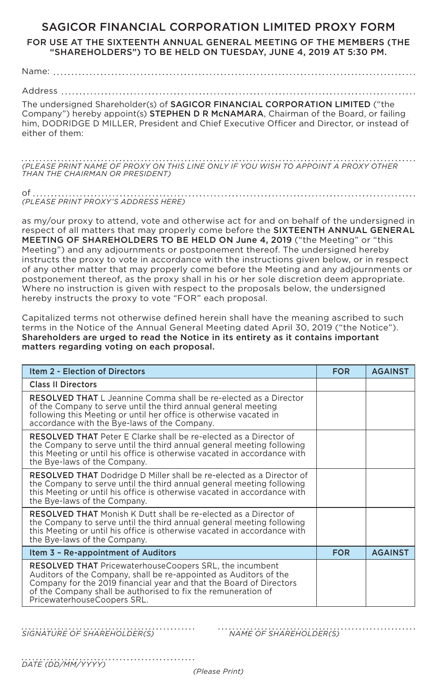## SAGICOR FINANCIAL CORPORATION LIMITED PROXY FORM

FOR USE AT THE SIXTEENTH ANNUAL GENERAL MEETING OF THE MEMBERS (THE "SHAREHOLDERS") TO BE HELD ON TUESDAY, JUNE 4, 2019 AT 5:30 PM.

Name:

Address

The undersigned Shareholder(s) of SAGICOR FINANCIAL CORPORATION LIMITED ("the Company") hereby appoint(s) **STEPHEN D R McNAMARA**, Chairman of the Board, or failing him, DODRIDGE D MILLER, President and Chief Executive Officer and Director, or instead of either of them:

*(PLEASE PRINT NAME OF PROXY ON THIS LINE ONLY IF YOU WISH TO APPOINT A PROXY OTHER THAN THE CHAIRMAN OR PRESIDENT)*

of *(PLEASE PRINT PROXY'S ADDRESS HERE)*

as my/our proxy to attend, vote and otherwise act for and on behalf of the undersigned in respect of all matters that may properly come before the SIXTEENTH ANNUAL GENERAL MEETING OF SHAREHOLDERS TO BE HELD ON June 4, 2019 ("the Meeting" or "this Meeting") and any adjournments or postponement thereof. The undersigned hereby instructs the proxy to vote in accordance with the instructions given below, or in respect of any other matter that may properly come before the Meeting and any adjournments or postponement thereof, as the proxy shall in his or her sole discretion deem appropriate. Where no instruction is given with respect to the proposals below, the undersigned hereby instructs the proxy to vote "FOR" each proposal.

Capitalized terms not otherwise defined herein shall have the meaning ascribed to such terms in the Notice of the Annual General Meeting dated April 30, 2019 ("the Notice"). Shareholders are urged to read the Notice in its entirety as it contains important matters regarding voting on each proposal.

| <b>Item 2 - Election of Directors</b>                                                                                                                                                                                                                                                                      | <b>FOR</b> | <b>AGAINST</b> |
|------------------------------------------------------------------------------------------------------------------------------------------------------------------------------------------------------------------------------------------------------------------------------------------------------------|------------|----------------|
| <b>Class II Directors</b>                                                                                                                                                                                                                                                                                  |            |                |
| <b>RESOLVED THAT</b> L Jeannine Comma shall be re-elected as a Director<br>of the Company to serve until the third annual general meeting<br>following this Meeting or until her office is otherwise vacated in<br>accordance with the Bye-laws of the Company.                                            |            |                |
| <b>RESOLVED THAT</b> Peter E Clarke shall be re-elected as a Director of<br>the Company to serve until the third annual general meeting following<br>this Meeting or until his office is otherwise vacated in accordance with<br>the Bye-laws of the Company.                                              |            |                |
| <b>RESOLVED THAT</b> Dodridge D Miller shall be re-elected as a Director of<br>the Company to serve until the third annual general meeting following<br>this Meeting or until his office is otherwise vacated in accordance with<br>the Bye-laws of the Company.                                           |            |                |
| <b>RESOLVED THAT</b> Monish K Dutt shall be re-elected as a Director of<br>the Company to serve until the third annual general meeting following<br>this Meeting or until his office is otherwise vacated in accordance with<br>the Bye-laws of the Company.                                               |            |                |
| Item 3 - Re-appointment of Auditors                                                                                                                                                                                                                                                                        | <b>FOR</b> | <b>AGAINST</b> |
| <b>RESOLVED THAT PricewaterhouseCoopers SRL, the incumbent</b><br>Auditors of the Company, shall be re-appointed as Auditors of the<br>Company for the 2019 financial year and that the Board of Directors<br>of the Company shall be authorised to fix the remuneration of<br>PricewaterhouseCoopers SRL. |            |                |

*SIGNATURE OF SHAREHOLDER(S) NAME OF SHAREHOLDER(S)*